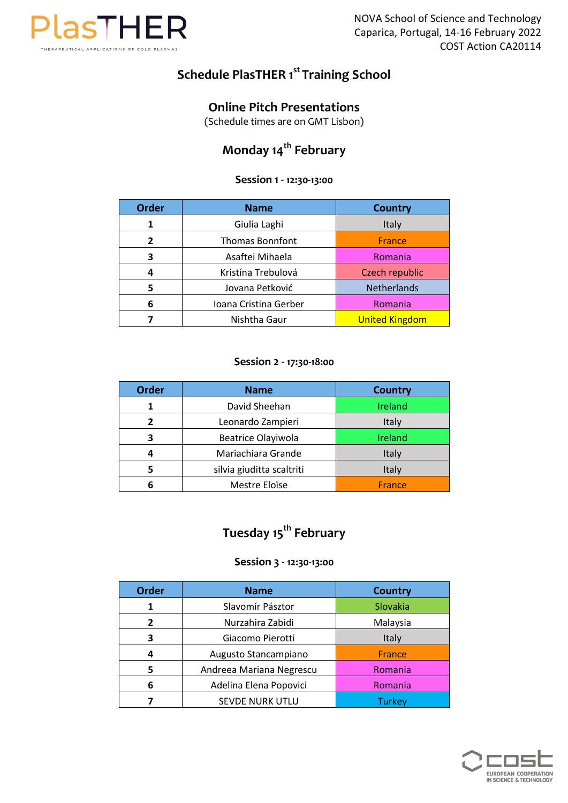

NOVA School of Science and Technology Caparica, Portugal, 14-16 February 2022 COST Action CA20114

# **Schedule PlasTHER 1st Training School**

## **Online Pitch Presentations**

(Schedule times are on GMT Lisbon)

# **Monday 14th February**

### **Session 1 - 12:30-13:00**

| <b>Order</b> | <b>Name</b>            | <b>Country</b>        |
|--------------|------------------------|-----------------------|
|              | Giulia Laghi           | Italy                 |
| 2            | <b>Thomas Bonnfont</b> | <b>France</b>         |
| 3            | Asaftei Mihaela        | Romania               |
| 4            | Kristína Trebulová     | Czech republic        |
|              | Jovana Petković        | Netherlands           |
| 6            | Ioana Cristina Gerber  | Romania               |
|              | Nishtha Gaur           | <b>United Kingdom</b> |

#### **Session 2 - 17:30-18:00**

| <b>Order</b> | <b>Name</b>               | <b>Country</b> |
|--------------|---------------------------|----------------|
|              | David Sheehan             | Ireland        |
| າ            | Leonardo Zampieri         | Italy          |
| 3            | <b>Beatrice Olayiwola</b> | Ireland        |
|              | Mariachiara Grande        | Italy          |
|              | silvia giuditta scaltriti | Italy          |
| 6            | Mestre Eloïse             | <b>France</b>  |

# **Tuesday 15th February**

### **Session 3 - 12:30-13:00**

| <b>Order</b>   | <b>Name</b>              | <b>Country</b> |
|----------------|--------------------------|----------------|
|                | Slavomír Pásztor         | Slovakia       |
| $\overline{2}$ | Nurzahira Zabidi         | Malaysia       |
| 3              | Giacomo Pierotti         | Italy          |
|                | Augusto Stancampiano     | <b>France</b>  |
| 5              | Andreea Mariana Negrescu | Romania        |
| 6              | Adelina Elena Popovici   | Romania        |
|                | SEVDE NURK UTLU          | <b>Turkey</b>  |